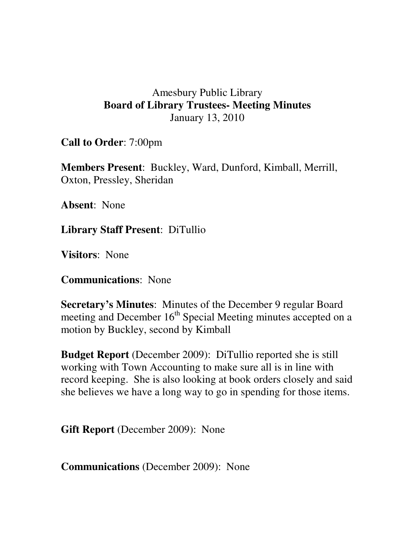## Amesbury Public Library **Board of Library Trustees- Meeting Minutes**  January 13, 2010

**Call to Order**: 7:00pm

**Members Present**: Buckley, Ward, Dunford, Kimball, Merrill, Oxton, Pressley, Sheridan

**Absent**: None

**Library Staff Present**: DiTullio

**Visitors**: None

**Communications**: None

**Secretary's Minutes**: Minutes of the December 9 regular Board meeting and December 16<sup>th</sup> Special Meeting minutes accepted on a motion by Buckley, second by Kimball

**Budget Report** (December 2009): DiTullio reported she is still working with Town Accounting to make sure all is in line with record keeping. She is also looking at book orders closely and said she believes we have a long way to go in spending for those items.

**Gift Report** (December 2009): None

**Communications** (December 2009): None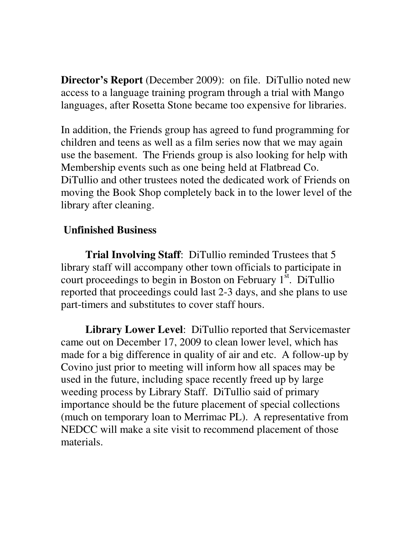**Director's Report** (December 2009): on file. DiTullio noted new access to a language training program through a trial with Mango languages, after Rosetta Stone became too expensive for libraries.

In addition, the Friends group has agreed to fund programming for children and teens as well as a film series now that we may again use the basement. The Friends group is also looking for help with Membership events such as one being held at Flatbread Co. DiTullio and other trustees noted the dedicated work of Friends on moving the Book Shop completely back in to the lower level of the library after cleaning.

## **Unfinished Business**

**Trial Involving Staff**: DiTullio reminded Trustees that 5 library staff will accompany other town officials to participate in court proceedings to begin in Boston on February  $1<sup>st</sup>$ . DiTullio reported that proceedings could last 2-3 days, and she plans to use part-timers and substitutes to cover staff hours.

**Library Lower Level**: DiTullio reported that Servicemaster came out on December 17, 2009 to clean lower level, which has made for a big difference in quality of air and etc. A follow-up by Covino just prior to meeting will inform how all spaces may be used in the future, including space recently freed up by large weeding process by Library Staff. DiTullio said of primary importance should be the future placement of special collections (much on temporary loan to Merrimac PL). A representative from NEDCC will make a site visit to recommend placement of those materials.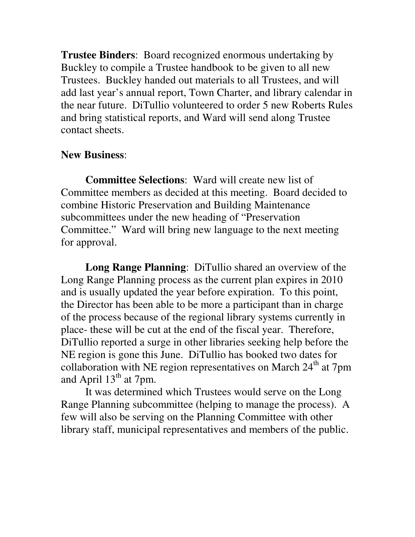**Trustee Binders**: Board recognized enormous undertaking by Buckley to compile a Trustee handbook to be given to all new Trustees. Buckley handed out materials to all Trustees, and will add last year's annual report, Town Charter, and library calendar in the near future. DiTullio volunteered to order 5 new Roberts Rules and bring statistical reports, and Ward will send along Trustee contact sheets.

## **New Business**:

**Committee Selections**: Ward will create new list of Committee members as decided at this meeting. Board decided to combine Historic Preservation and Building Maintenance subcommittees under the new heading of "Preservation Committee." Ward will bring new language to the next meeting for approval.

**Long Range Planning**: DiTullio shared an overview of the Long Range Planning process as the current plan expires in 2010 and is usually updated the year before expiration. To this point, the Director has been able to be more a participant than in charge of the process because of the regional library systems currently in place- these will be cut at the end of the fiscal year. Therefore, DiTullio reported a surge in other libraries seeking help before the NE region is gone this June. DiTullio has booked two dates for collaboration with NE region representatives on March  $24<sup>th</sup>$  at 7pm and April  $13<sup>th</sup>$  at 7pm.

 It was determined which Trustees would serve on the Long Range Planning subcommittee (helping to manage the process). A few will also be serving on the Planning Committee with other library staff, municipal representatives and members of the public.